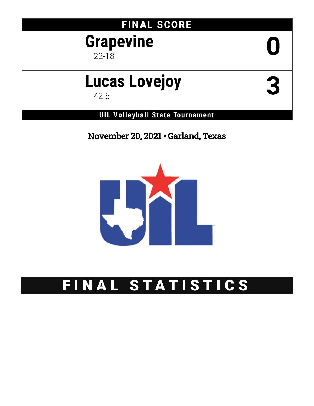### FINAL SCORE

## **Grapevine** 22-18 **0**

# **Lucas Lovejoy** 42-6 **3**

**UIL Volleyball State Tournament**

November 20, 2021 • Garland, Texas



## FINAL STATISTICS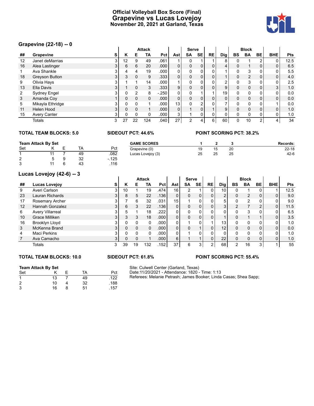#### **Official Volleyball Box Score (Final) Grapevine vs Lucas Lovejoy November 20, 2021 at Garland, Texas**



#### **Grapevine (22-18) -- 0**

|    | $U$ i apovinc (22-10) -- v |    |          |              |               |        |                |              |                |                |                |          |                |    |            |      |
|----|----------------------------|----|----------|--------------|---------------|--------|----------------|--------------|----------------|----------------|----------------|----------|----------------|----|------------|------|
|    |                            |    |          |              | <b>Attack</b> |        |                | <b>Serve</b> |                |                |                |          | <b>Block</b>   |    |            |      |
| ## | Grapevine                  | s  | Κ        | Е            | TA            | Pct    | Ast            | SA           | <b>SE</b>      | <b>RE</b>      | <b>Dig</b>     | BS       | <b>BA</b>      | BE | <b>BHE</b> | Pts  |
| 12 | Janet deMarrias            | 3  | 12       | 9            | 49            | .061   |                | 0            |                |                | 8              |          |                | ົ  | 0          | 12.5 |
| 16 | Alea Lastinger             | 3  | 6        | 6            | 20            | .000   | $\overline{0}$ | 0            | 0              | 0              | 4              | 0        |                | 0  | 0          | 6.5  |
|    | Ava Shankle                | 3  |          | 4            | 19            | .000   | 0              | $\mathbf{0}$ | 0              |                |                | 0        | 3              | 0  | 0          | 5.5  |
| 18 | <b>Greyson Button</b>      | 3  | 3        | 0            | 9             | .333   | 0              | 0            | 0              | 0 <sub>1</sub> | 1              | 0        | $\overline{2}$ | 0  | 0          | 4.0  |
| 9  | Olivia Hays                | 3  |          |              | 14            | .000   |                | 0            | 0              | 0              | $\overline{2}$ | 0        | 3              | 0  | 0          | 2.5  |
| 13 | Ella Davis                 | 3  |          | 0            | 3             | .333   | 9              | 0            | 0              | 0              | 9              | 0        | 0              | 0  | 3          | 1.0  |
| 2  | <b>Sydney Engel</b>        |    | 0        | $\mathbf{2}$ | 8             | $-250$ | 0              | $\mathbf{0}$ |                |                | 19             | 0        | 0              | 0  | 0          | 0.0  |
| 3  | Amanda Coy                 |    | 0        | 0            | 0             | .000   | 0 <sub>1</sub> | 0            | 0              | $\mathbf{0}$   | 0              | 0        | 0              | 0  | 0          | 0.0  |
| 5  | Mikayla Ethridge           |    | $\Omega$ | 0            |               | .000   | 13             | $\mathbf{0}$ | $\overline{2}$ |                | 7 <sub>1</sub> | 0        | 0              | 0  |            | 0.0  |
| 11 | Helen Hood                 | 31 | $\Omega$ | 0            |               | .000   | $\mathbf{0}$   |              | 0              |                | 9              | $\Omega$ | 0              | 0  | 0          | 1.0  |
| 15 | <b>Avery Canter</b>        | 3  | 0        | 0            | 0             | .000   | 3              |              | 0              | 0              | 0              | 0        | $\Omega$       | 0  | 0          | 1.0  |
|    | <b>Totals</b>              | 3  | 27       | 22           | 124           | .040   | 27             | 2            | 4              | 6 <sup>1</sup> | 60             | 0        | 10             | 2  | 4          | 34   |

#### **TOTAL TEAM BLOCKS: 5.0 SIDEOUT PCT: 44.6% POINT SCORING PCT: 38.2%**

#### **Team Attack By Set** Set K E TA Pct 1 11 7 49 .082 2 5 9 32 -.125<br>3 11 6 43 .116 3 11 6 43 .116 **GAME SCORES 1 2 3 Records:** Grapevine (0) 19 15 20 22-18 Lucas Lovejoy (3) 25 25 25 42-6

#### **Lucas Lovejoy (42-6) -- 3**

|    | LUCAS LOVEJOY (42-0) -- J |                |          |          |               |      |          |                       |           |                |                |               |                |           |            |            |
|----|---------------------------|----------------|----------|----------|---------------|------|----------|-----------------------|-----------|----------------|----------------|---------------|----------------|-----------|------------|------------|
|    |                           |                |          |          | <b>Attack</b> |      |          | <b>Serve</b>          |           |                |                |               | <b>Block</b>   |           |            |            |
| ## | Lucas Lovejoy             | s              | Κ        | Е        | ΤА            | Pct  | Ast      | SA                    | <b>SE</b> | <b>RE</b>      | Dig            | BS            | <b>BA</b>      | <b>BE</b> | <b>BHE</b> | <b>Pts</b> |
| 9  | Averi Carlson             | 3              | 10       |          | 19            | 474  | 16       | $\mathbf{2}^{\prime}$ |           | 0              | 10             |               |                |           |            | 12.5       |
| 23 | Lauran Richards           | 3              | 8        | 5        | 22            | .136 | 0        | 0                     | 0         | 0              | $\overline{2}$ | 0             | $\overline{2}$ | 0         | 0          | 9.0        |
| 17 | Rosemary Archer           | 3              |          | 6        | 32            | .031 | 15       |                       |           |                | 5              |               | $\mathcal{P}$  | 0         |            | 9.0        |
| 12 | Hannah Gonzalez           | 3 <sup>1</sup> | 6        | 3        | 22            | .136 | $\Omega$ | 0                     | 0         | 0              | 3              | 2             |                | 2         | 0          | 11.5       |
| 6  | <b>Avery Villarreal</b>   | 3              | 5        |          | 18            | 222  | 0        | 0                     |           | 0              |                |               | 3              | n         |            | 6.5        |
| 10 | Grace Milliken            | 3              |          | 3        | 18            | .000 | 0        | 0                     |           | 0              |                |               |                |           | $\Omega$   | 3.5        |
| 16 | Brooklyn Lloyd            |                |          | 0        | 0             | .000 | 0        |                       | U         |                | 13             |               | 0              | 0         |            | 1.0        |
| 3  | McKenna Brand             | 3              |          | $\Omega$ | 0             | .000 | $\Omega$ | 0                     |           | 0              | 12             | <sup>0</sup>  | 0              | $\Omega$  | 0          | 0.0        |
| 4  | <b>Maci Perkins</b>       |                | 0        | $\Omega$ | 0             | .000 | 0        |                       | 0         | 0              |                |               | 0              | 0         | 0          | 1.0        |
|    | Ava Camacho               | 31             | $\Omega$ | 0        |               | .000 | 6        |                       |           | $\overline{0}$ | 22             | 0             | 0              | 0         | $\Omega$   | 1.0        |
|    | Totals                    | 3              | 39       | 19       | 132           | .152 | 37       | 6                     | 3         | 2              | 68             | $\mathcal{P}$ | 16             | 3         |            | 55         |

#### **TOTAL TEAM BLOCKS: 10.0 SIDEOUT PCT: 61.8% POINT SCORING PCT: 55.4%**

#### **Team Attack By Set**

| Set                  |    | TA | Pct  |
|----------------------|----|----|------|
| $\blacktriangleleft$ | 13 | 49 | .122 |
| $\overline{2}$       | 10 | 32 | .188 |
| 3                    | 16 | 51 | .157 |

#### Site: Culwell Center (Garland, Texas) Date:11/20/2021 - Attendance: 1820 - Time: 1:13 Referees: Melanie Petrash; James Booker; Linda Casas; Shea Sapp;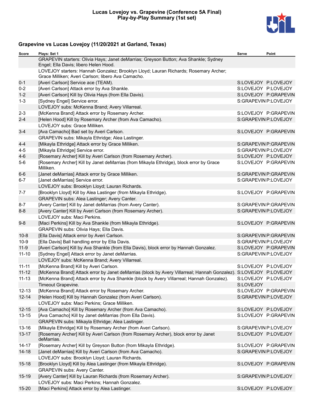

### **Grapevine vs Lucas Lovejoy (11/20/2021 at Garland, Texas)**

| Score     | Plays: Set 1                                                                                                                               | Serve                | Point                 |
|-----------|--------------------------------------------------------------------------------------------------------------------------------------------|----------------------|-----------------------|
|           | GRAPEVIN starters: Olivia Hays; Janet deMarrias; Greyson Button; Ava Shankle; Sydney<br>Engel; Ella Davis; libero Helen Hood.              |                      |                       |
|           | LOVEJOY starters: Hannah Gonzalez; Brooklyn Lloyd; Lauran Richards; Rosemary Archer;<br>Grace Milliken; Averi Carlson; libero Ava Camacho. |                      |                       |
| $0 - 1$   | [Averi Carlson] Service ace (TEAM).                                                                                                        | S:LOVEJOY P:LOVEJOY  |                       |
| $0 - 2$   | [Averi Carlson] Attack error by Ava Shankle.                                                                                               | S:LOVEJOY P:LOVEJOY  |                       |
| $1 - 2$   | [Averi Carlson] Kill by Olivia Hays (from Ella Davis).                                                                                     |                      | S:LOVEJOY P:GRAPEVIN  |
| $1 - 3$   | [Sydney Engel] Service error.                                                                                                              | S:GRAPEVIN P:LOVEJOY |                       |
|           | LOVEJOY subs: McKenna Brand; Avery Villarreal.                                                                                             |                      |                       |
| $2 - 3$   | [McKenna Brand] Attack error by Rosemary Archer.                                                                                           |                      | S:LOVEJOY P:GRAPEVIN  |
| $2 - 4$   | [Helen Hood] Kill by Rosemary Archer (from Ava Camacho).                                                                                   | S:GRAPEVIN P:LOVEJOY |                       |
|           | LOVEJOY subs: Grace Milliken.                                                                                                              |                      |                       |
| $3 - 4$   | [Ava Camacho] Bad set by Averi Carlson.                                                                                                    |                      | S:LOVEJOY P:GRAPEVIN  |
|           | GRAPEVIN subs: Mikayla Ethridge; Alea Lastinger.                                                                                           |                      |                       |
| 4-4       | [Mikayla Ethridge] Attack error by Grace Milliken.                                                                                         |                      | S:GRAPEVIN P:GRAPEVIN |
| $4 - 5$   | [Mikayla Ethridge] Service error.                                                                                                          | S:GRAPEVIN P:LOVEJOY |                       |
| $4 - 6$   | [Rosemary Archer] Kill by Averi Carlson (from Rosemary Archer).                                                                            | S:LOVEJOY P:LOVEJOY  |                       |
| $5-6$     | [Rosemary Archer] Kill by Janet deMarrias (from Mikayla Ethridge), block error by Grace<br>Milliken.                                       |                      | S:LOVEJOY P:GRAPEVIN  |
| 6-6       | [Janet deMarrias] Attack error by Grace Milliken.                                                                                          |                      | S:GRAPEVIN P:GRAPEVIN |
| $6-7$     | [Janet deMarrias] Service error.                                                                                                           | S:GRAPEVIN P:LOVEJOY |                       |
|           | LOVEJOY subs: Brooklyn Lloyd; Lauran Richards.                                                                                             |                      |                       |
| $7 - 7$   | [Brooklyn Lloyd] Kill by Alea Lastinger (from Mikayla Ethridge).                                                                           |                      | S:LOVEJOY P:GRAPEVIN  |
|           | GRAPEVIN subs: Alea Lastinger; Avery Canter.                                                                                               |                      |                       |
| $8 - 7$   | [Avery Canter] Kill by Janet deMarrias (from Avery Canter).                                                                                |                      | S:GRAPEVIN P:GRAPEVIN |
| $8 - 8$   | [Avery Canter] Kill by Averi Carlson (from Rosemary Archer).<br>LOVEJOY subs: Maci Perkins.                                                | S:GRAPEVIN P:LOVEJOY |                       |
| $9-8$     | [Maci Perkins] Kill by Ava Shankle (from Mikayla Ethridge).                                                                                |                      | S:LOVEJOY P:GRAPEVIN  |
|           | GRAPEVIN subs: Olivia Hays; Ella Davis.                                                                                                    |                      |                       |
| $10 - 8$  | [Ella Davis] Attack error by Averi Carlson.                                                                                                |                      | S:GRAPEVIN P:GRAPEVIN |
| $10-9$    | [Ella Davis] Ball handling error by Ella Davis.                                                                                            | S:GRAPEVIN P:LOVEJOY |                       |
| $11-9$    | [Averi Carlson] Kill by Ava Shankle (from Ella Davis), block error by Hannah Gonzalez.                                                     |                      | S:LOVEJOY P:GRAPEVIN  |
| $11 - 10$ | [Sydney Engel] Attack error by Janet deMarrias.                                                                                            | S:GRAPEVIN P:LOVEJOY |                       |
|           | LOVEJOY subs: McKenna Brand; Avery Villarreal.                                                                                             |                      |                       |
| $11 - 11$ | [McKenna Brand] Kill by Averi Carlson.                                                                                                     | S:LOVEJOY P:LOVEJOY  |                       |
| $11 - 12$ | [McKenna Brand] Attack error by Janet deMarrias (block by Avery Villarreal; Hannah Gonzalez). S:LOVEJOY P:LOVEJOY                          |                      |                       |
| $11 - 13$ | [McKenna Brand] Attack error by Ava Shankle (block by Avery Villarreal; Hannah Gonzalez).                                                  | S:LOVEJOY P:LOVEJOY  |                       |
|           | Timeout Grapevine.                                                                                                                         | S:LOVEJOY            |                       |
| $12 - 13$ | [McKenna Brand] Attack error by Rosemary Archer.                                                                                           |                      | S:LOVEJOY P:GRAPEVIN  |
| $12 - 14$ | [Helen Hood] Kill by Hannah Gonzalez (from Averi Carlson).                                                                                 | S:GRAPEVIN P:LOVEJOY |                       |
|           | LOVEJOY subs: Maci Perkins; Grace Milliken.                                                                                                |                      |                       |
| $12 - 15$ | [Ava Camacho] Kill by Rosemary Archer (from Ava Camacho).                                                                                  |                      | S:LOVEJOY P:LOVEJOY   |
| $13 - 15$ | [Ava Camacho] Kill by Janet deMarrias (from Ella Davis).<br>GRAPEVIN subs: Mikayla Ethridge; Alea Lastinger.                               |                      | S:LOVEJOY P:GRAPEVIN  |
| $13 - 16$ | [Mikayla Ethridge] Kill by Rosemary Archer (from Averi Carlson).                                                                           | S:GRAPEVIN P:LOVEJOY |                       |
| $13 - 17$ | [Rosemary Archer] Kill by Averi Carlson (from Rosemary Archer), block error by Janet                                                       | S:LOVEJOY P:LOVEJOY  |                       |
|           | deMarrias.                                                                                                                                 |                      |                       |
| 14-17     | [Rosemary Archer] Kill by Greyson Button (from Mikayla Ethridge).                                                                          |                      | S:LOVEJOY P:GRAPEVIN  |
| $14 - 18$ | [Janet deMarrias] Kill by Averi Carlson (from Ava Camacho).                                                                                |                      | S:GRAPEVIN P:LOVEJOY  |
|           | LOVEJOY subs: Brooklyn Lloyd; Lauran Richards.                                                                                             |                      |                       |
| $15 - 18$ | [Brooklyn Lloyd] Kill by Alea Lastinger (from Mikayla Ethridge).                                                                           |                      | S:LOVEJOY P:GRAPEVIN  |
|           | GRAPEVIN subs: Avery Canter.                                                                                                               |                      |                       |
| $15 - 19$ | [Avery Canter] Kill by Lauran Richards (from Rosemary Archer).                                                                             | S:GRAPEVIN P:LOVEJOY |                       |
|           | LOVEJOY subs: Maci Perkins; Hannah Gonzalez.                                                                                               |                      |                       |
| 15-20     | [Maci Perkins] Attack error by Alea Lastinger.                                                                                             | S:LOVEJOY P:LOVEJOY  |                       |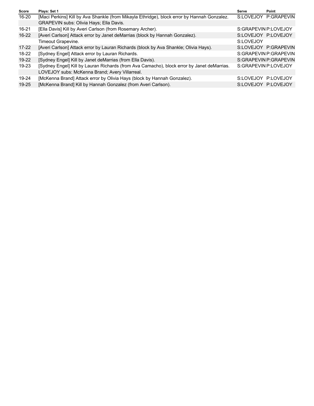| Score     | Plays: Set 1                                                                                | Serve                | Point                 |
|-----------|---------------------------------------------------------------------------------------------|----------------------|-----------------------|
| $16 - 20$ | [Maci Perkins] Kill by Ava Shankle (from Mikayla Ethridge), block error by Hannah Gonzalez. |                      | S:LOVEJOY P:GRAPEVIN  |
|           | GRAPEVIN subs: Olivia Hays; Ella Davis.                                                     |                      |                       |
| 16-21     | [Ella Davis] Kill by Averi Carlson (from Rosemary Archer).                                  | S:GRAPEVIN P:LOVEJOY |                       |
| 16-22     | [Averi Carlson] Attack error by Janet deMarrias (block by Hannah Gonzalez).                 |                      | S:LOVEJOY P:LOVEJOY   |
|           | Timeout Grapevine.                                                                          | S:LOVEJOY            |                       |
| $17 - 22$ | [Averi Carlson] Attack error by Lauran Richards (block by Ava Shankle; Olivia Hays).        |                      | S:LOVEJOY P:GRAPEVIN  |
| $18-22$   | [Sydney Engel] Attack error by Lauran Richards.                                             |                      | S:GRAPEVIN P:GRAPEVIN |
| 19-22     | [Sydney Engel] Kill by Janet deMarrias (from Ella Davis).                                   |                      | S:GRAPEVIN P:GRAPEVIN |
| $19 - 23$ | [Sydney Engel] Kill by Lauran Richards (from Ava Camacho), block error by Janet deMarrias.  | S:GRAPEVIN P:LOVEJOY |                       |
|           | LOVEJOY subs: McKenna Brand; Avery Villarreal.                                              |                      |                       |
| 19-24     | [McKenna Brand] Attack error by Olivia Hays (block by Hannah Gonzalez).                     | S:LOVEJOY P:LOVEJOY  |                       |
| $19 - 25$ | [McKenna Brand] Kill by Hannah Gonzalez (from Averi Carlson).                               |                      | S:LOVEJOY P:LOVEJOY   |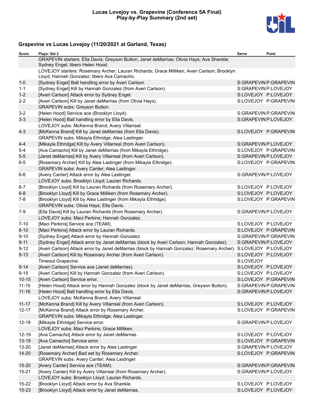

### **Grapevine vs Lucas Lovejoy (11/20/2021 at Garland, Texas)**

| Score     | Plays: Set 2                                                                                                                               | Serve                | Point                 |
|-----------|--------------------------------------------------------------------------------------------------------------------------------------------|----------------------|-----------------------|
|           | GRAPEVIN starters: Ella Davis; Greyson Button; Janet deMarrias; Olivia Hays; Ava Shankle;<br>Sydney Engel; libero Helen Hood.              |                      |                       |
|           | LOVEJOY starters: Rosemary Archer; Lauran Richards; Grace Milliken; Averi Carlson; Brooklyn<br>Lloyd; Hannah Gonzalez; libero Ava Camacho. |                      |                       |
|           |                                                                                                                                            |                      |                       |
| $1 - 0$   | [Sydney Engel] Ball handling error by Averi Carlson.                                                                                       |                      | S:GRAPEVIN P:GRAPEVIN |
| $1 - 1$   | [Sydney Engel] Kill by Hannah Gonzalez (from Averi Carlson).                                                                               | S:GRAPEVIN P:LOVEJOY |                       |
| $1 - 2$   | [Averi Carlson] Attack error by Sydney Engel.                                                                                              |                      | S:LOVEJOY P:LOVEJOY   |
| $2 - 2$   | [Averi Carlson] Kill by Janet deMarrias (from Olivia Hays).                                                                                |                      | S:LOVEJOY P:GRAPEVIN  |
|           | GRAPEVIN subs: Greyson Button.                                                                                                             |                      |                       |
| $3 - 2$   | [Helen Hood] Service ace (Brooklyn Lloyd).                                                                                                 |                      | S:GRAPEVIN P:GRAPEVIN |
| $3 - 3$   | [Helen Hood] Ball handling error by Ella Davis.                                                                                            | S:GRAPEVIN P:LOVEJOY |                       |
|           | LOVEJOY subs: McKenna Brand; Avery Villarreal.                                                                                             |                      |                       |
| $4 - 3$   | [McKenna Brand] Kill by Janet deMarrias (from Ella Davis).                                                                                 |                      | S:LOVEJOY P:GRAPEVIN  |
|           | GRAPEVIN subs: Mikayla Ethridge; Alea Lastinger.                                                                                           |                      |                       |
| $4 - 4$   | [Mikayla Ethridge] Kill by Avery Villarreal (from Averi Carlson).                                                                          | S:GRAPEVIN P:LOVEJOY |                       |
| $5 - 4$   | [Ava Camacho] Kill by Janet deMarrias (from Mikayla Ethridge).                                                                             |                      | S:LOVEJOY P:GRAPEVIN  |
| $5-5$     | [Janet deMarrias] Kill by Avery Villarreal (from Averi Carlson).                                                                           |                      | S:GRAPEVIN P:LOVEJOY  |
| $6-5$     | [Rosemary Archer] Kill by Alea Lastinger (from Mikayla Ethridge).                                                                          |                      | S:LOVEJOY P:GRAPEVIN  |
|           | GRAPEVIN subs: Avery Canter; Alea Lastinger.                                                                                               |                      |                       |
| $6-6$     | [Avery Canter] Attack error by Alea Lastinger.                                                                                             | S:GRAPEVIN P:LOVEJOY |                       |
|           | LOVEJOY subs: Brooklyn Lloyd; Lauran Richards.                                                                                             |                      |                       |
| $6 - 7$   | [Brooklyn Lloyd] Kill by Lauran Richards (from Rosemary Archer).                                                                           | S:LOVEJOY P:LOVEJOY  |                       |
| $6 - 8$   | [Brooklyn Lloyd] Kill by Grace Milliken (from Rosemary Archer).                                                                            | S:LOVEJOY P:LOVEJOY  |                       |
| $7 - 8$   | [Brooklyn Lloyd] Kill by Alea Lastinger (from Mikayla Ethridge).                                                                           |                      | S:LOVEJOY P:GRAPEVIN  |
|           | GRAPEVIN subs: Olivia Hays; Ella Davis.                                                                                                    |                      |                       |
| $7-9$     | [Ella Davis] Kill by Lauran Richards (from Rosemary Archer).                                                                               | S:GRAPEVIN P:LOVEJOY |                       |
|           | LOVEJOY subs: Maci Perkins; Hannah Gonzalez.                                                                                               |                      |                       |
| $7 - 10$  | [Maci Perkins] Service ace (TEAM).                                                                                                         | S:LOVEJOY P:LOVEJOY  |                       |
| $8 - 10$  | [Maci Perkins] Attack error by Lauran Richards.                                                                                            |                      | S:LOVEJOY P:GRAPEVIN  |
| $9 - 10$  | [Sydney Engel] Attack error by Hannah Gonzalez.                                                                                            |                      | S:GRAPEVIN P:GRAPEVIN |
| $9 - 11$  | [Sydney Engel] Attack error by Janet deMarrias (block by Averi Carlson; Hannah Gonzalez).                                                  | S:GRAPEVIN P:LOVEJOY |                       |
| $9 - 12$  | [Averi Carlson] Attack error by Janet deMarrias (block by Hannah Gonzalez; Rosemary Archer). S:LOVEJOY P:LOVEJOY                           |                      |                       |
| $9 - 13$  | [Averi Carlson] Kill by Rosemary Archer (from Averi Carlson).                                                                              | S:LOVEJOY P:LOVEJOY  |                       |
|           | Timeout Grapevine.                                                                                                                         | S:LOVEJOY            |                       |
| $9 - 14$  | [Averi Carlson] Service ace (Janet deMarrias).                                                                                             | S:LOVEJOY P:LOVEJOY  |                       |
| $9 - 15$  | [Averi Carlson] Kill by Hannah Gonzalez (from Averi Carlson).                                                                              | S:LOVEJOY P:LOVEJOY  |                       |
| $10 - 15$ | [Averi Carlson] Service error.                                                                                                             |                      | S:LOVEJOY P:GRAPEVIN  |
| $11 - 15$ | [Helen Hood] Attack error by Hannah Gonzalez (block by Janet deMarrias; Greyson Button).                                                   |                      | S:GRAPEVIN P:GRAPEVIN |
| $11 - 16$ | [Helen Hood] Ball handling error by Ella Davis.                                                                                            | S:GRAPEVIN P:LOVEJOY |                       |
|           | LOVEJOY subs: McKenna Brand; Avery Villarreal.                                                                                             |                      |                       |
| $11 - 17$ | [McKenna Brand] Kill by Avery Villarreal (from Averi Carlson).                                                                             |                      | S:LOVEJOY P:LOVEJOY   |
| $12 - 17$ | [McKenna Brand] Attack error by Rosemary Archer.                                                                                           |                      | S:LOVEJOY P:GRAPEVIN  |
|           | GRAPEVIN subs: Mikayla Ethridge; Alea Lastinger.                                                                                           |                      |                       |
| $12 - 18$ | [Mikayla Ethridge] Service error.                                                                                                          | S:GRAPEVIN P:LOVEJOY |                       |
|           | LOVEJOY subs: Maci Perkins; Grace Milliken.                                                                                                |                      |                       |
| $12 - 19$ | [Ava Camacho] Attack error by Janet deMarrias.                                                                                             | S:LOVEJOY P:LOVEJOY  |                       |
| 13-19     | [Ava Camacho] Service error.                                                                                                               |                      | S:LOVEJOY P:GRAPEVIN  |
| 13-20     | [Janet deMarrias] Attack error by Alea Lastinger.                                                                                          | S:GRAPEVIN P:LOVEJOY |                       |
| 14-20     | [Rosemary Archer] Bad set by Rosemary Archer.                                                                                              |                      | S:LOVEJOY P:GRAPEVIN  |
|           | GRAPEVIN subs: Avery Canter; Alea Lastinger.                                                                                               |                      |                       |
| 15-20     | [Avery Canter] Service ace (TEAM).                                                                                                         |                      | S:GRAPEVIN P:GRAPEVIN |
| $15 - 21$ | [Avery Canter] Kill by Avery Villarreal (from Rosemary Archer).                                                                            | S:GRAPEVIN P:LOVEJOY |                       |
|           | LOVEJOY subs: Brooklyn Lloyd; Lauran Richards.                                                                                             |                      |                       |
| $15 - 22$ | [Brooklyn Lloyd] Attack error by Ava Shankle.                                                                                              | S:LOVEJOY P:LOVEJOY  |                       |
| $15 - 23$ | [Brooklyn Lloyd] Attack error by Janet deMarrias.                                                                                          | S:LOVEJOY P:LOVEJOY  |                       |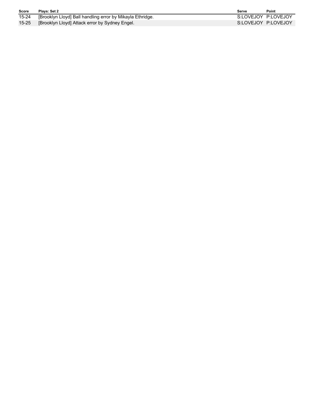| <b>Score</b> | Plavs: Set 2                                              | Serve               | Point |
|--------------|-----------------------------------------------------------|---------------------|-------|
| 15-24        | [Brooklyn Lloyd] Ball handling error by Mikayla Ethridge. | S:LOVEJOY P:LOVEJOY |       |
| $15 - 25$    | [Brooklyn Lloyd] Attack error by Sydney Engel.            | S:LOVEJOY P:LOVEJOY |       |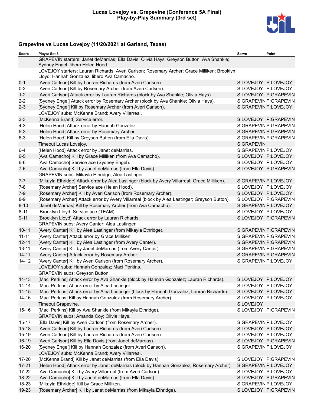

### **Grapevine vs Lucas Lovejoy (11/20/2021 at Garland, Texas)**

| Score     | Plays: Set 3                                                                                                                               | Serve                | Point                 |
|-----------|--------------------------------------------------------------------------------------------------------------------------------------------|----------------------|-----------------------|
|           | GRAPEVIN starters: Janet deMarrias; Ella Davis; Olivia Hays; Greyson Button; Ava Shankle;<br>Sydney Engel; libero Helen Hood.              |                      |                       |
|           | LOVEJOY starters: Lauran Richards; Averi Carlson; Rosemary Archer; Grace Milliken; Brooklyn<br>Lloyd; Hannah Gonzalez; libero Ava Camacho. |                      |                       |
| $0 - 1$   | [Averi Carlson] Kill by Lauran Richards (from Averi Carlson).                                                                              |                      | S:LOVEJOY P:LOVEJOY   |
| $0 - 2$   | [Averi Carlson] Kill by Rosemary Archer (from Averi Carlson).                                                                              |                      | S:LOVEJOY P:LOVEJOY   |
| $1 - 2$   | [Averi Carlson] Attack error by Lauran Richards (block by Ava Shankle; Olivia Hays).                                                       |                      | S:LOVEJOY P:GRAPEVIN  |
| $2 - 2$   | [Sydney Engel] Attack error by Rosemary Archer (block by Ava Shankle; Olivia Hays).                                                        |                      | S:GRAPEVIN P:GRAPEVIN |
| $2 - 3$   | [Sydney Engel] Kill by Rosemary Archer (from Averi Carlson).                                                                               |                      | S:GRAPEVIN P:LOVEJOY  |
|           | LOVEJOY subs: McKenna Brand; Avery Villarreal.                                                                                             |                      |                       |
| $3 - 3$   | [McKenna Brand] Service error.                                                                                                             |                      | S:LOVEJOY P:GRAPEVIN  |
| $4 - 3$   | [Helen Hood] Attack error by Hannah Gonzalez.                                                                                              |                      | S:GRAPEVIN P:GRAPEVIN |
| $5 - 3$   | [Helen Hood] Attack error by Rosemary Archer.                                                                                              |                      | S:GRAPEVIN P:GRAPEVIN |
| $6 - 3$   | [Helen Hood] Kill by Greyson Button (from Ella Davis).                                                                                     |                      | S:GRAPEVIN P:GRAPEVIN |
|           | Timeout Lucas Lovejoy.                                                                                                                     | S:GRAPEVIN           |                       |
| $6 - 4$   | [Helen Hood] Attack error by Janet deMarrias.                                                                                              | S:GRAPEVIN P:LOVEJOY |                       |
| $6-5$     | [Ava Camacho] Kill by Grace Milliken (from Ava Camacho).                                                                                   |                      | S:LOVEJOY P:LOVEJOY   |
| $6-6$     | [Ava Camacho] Service ace (Sydney Engel).                                                                                                  |                      | S:LOVEJOY P:LOVEJOY   |
| $7-6$     | [Ava Camacho] Kill by Janet deMarrias (from Ella Davis).                                                                                   |                      | S:LOVEJOY P:GRAPEVIN  |
|           | GRAPEVIN subs: Mikayla Ethridge; Alea Lastinger.                                                                                           |                      |                       |
| $7 - 7$   | [Mikayla Ethridge] Attack error by Alea Lastinger (block by Avery Villarreal; Grace Milliken).                                             | S:GRAPEVIN P:LOVEJOY |                       |
| $7-8$     | [Rosemary Archer] Service ace (Helen Hood).                                                                                                |                      | S:LOVEJOY P:LOVEJOY   |
| $7-9$     | [Rosemary Archer] Kill by Averi Carlson (from Rosemary Archer).                                                                            |                      | S:LOVEJOY P:LOVEJOY   |
| $8-9$     | [Rosemary Archer] Attack error by Avery Villarreal (block by Alea Lastinger; Greyson Button).                                              |                      | S:LOVEJOY P:GRAPEVIN  |
| $8 - 10$  | [Janet deMarrias] Kill by Rosemary Archer (from Ava Camacho).                                                                              |                      | S:GRAPEVIN P:LOVEJOY  |
| $8 - 11$  | [Brooklyn Lloyd] Service ace (TEAM).                                                                                                       |                      | S:LOVEJOY P:LOVEJOY   |
| $9 - 11$  | [Brooklyn Lloyd] Attack error by Lauran Richards.                                                                                          |                      | S:LOVEJOY P:GRAPEVIN  |
|           | GRAPEVIN subs: Avery Canter; Alea Lastinger.                                                                                               |                      |                       |
| $10 - 11$ | [Avery Canter] Kill by Alea Lastinger (from Mikayla Ethridge).                                                                             |                      | S:GRAPEVIN P:GRAPEVIN |
| $11 - 11$ | [Avery Canter] Attack error by Grace Milliken.                                                                                             |                      | S:GRAPEVIN P:GRAPEVIN |
| $12 - 11$ | [Avery Canter] Kill by Alea Lastinger (from Avery Canter).                                                                                 |                      | S:GRAPEVIN P:GRAPEVIN |
| $13 - 11$ | [Avery Canter] Kill by Janet deMarrias (from Avery Canter).                                                                                |                      | S:GRAPEVIN P:GRAPEVIN |
| $14 - 11$ | [Avery Canter] Attack error by Rosemary Archer.                                                                                            |                      | S:GRAPEVIN P:GRAPEVIN |
| $14 - 12$ | [Avery Canter] Kill by Averi Carlson (from Rosemary Archer).                                                                               |                      | S:GRAPEVIN P:LOVEJOY  |
|           | LOVEJOY subs: Hannah Gonzalez; Maci Perkins.                                                                                               |                      |                       |
|           | GRAPEVIN subs: Greyson Button.                                                                                                             |                      |                       |
| 14-13     | [Maci Perkins] Attack error by Ava Shankle (block by Hannah Gonzalez; Lauran Richards).                                                    | S:LOVEJOY P:LOVEJOY  |                       |
| 14-14     | [Maci Perkins] Attack error by Alea Lastinger.                                                                                             | S:LOVEJOY P:LOVEJOY  |                       |
| $14 - 15$ | [Maci Perkins] Attack error by Alea Lastinger (block by Hannah Gonzalez; Lauran Richards).                                                 | S:LOVEJOY P:LOVEJOY  |                       |
| 14-16     | [Maci Perkins] Kill by Hannah Gonzalez (from Rosemary Archer).                                                                             | S:LOVEJOY P:LOVEJOY  |                       |
|           | Timeout Grapevine.                                                                                                                         | S:LOVEJOY            |                       |
| $15 - 16$ | [Maci Perkins] Kill by Ava Shankle (from Mikayla Ethridge).                                                                                |                      | S:LOVEJOY P:GRAPEVIN  |
|           | GRAPEVIN subs: Amanda Coy; Olivia Hays.                                                                                                    |                      |                       |
| $15 - 17$ | [Ella Davis] Kill by Averi Carlson (from Rosemary Archer).                                                                                 | S:GRAPEVIN P:LOVEJOY |                       |
| $15 - 18$ | [Averi Carlson] Kill by Lauran Richards (from Averi Carlson).                                                                              |                      | S:LOVEJOY P:LOVEJOY   |
| $15 - 19$ | [Averi Carlson] Kill by Lauran Richards (from Averi Carlson).                                                                              | S:LOVEJOY P:LOVEJOY  |                       |
| 16-19     | [Averi Carlson] Kill by Ella Davis (from Janet deMarrias).                                                                                 |                      | S:LOVEJOY P:GRAPEVIN  |
| 16-20     | [Sydney Engel] Kill by Hannah Gonzalez (from Averi Carlson).<br>LOVEJOY subs: McKenna Brand; Avery Villarreal.                             | S:GRAPEVIN P:LOVEJOY |                       |
| 17-20     | [McKenna Brand] Kill by Janet deMarrias (from Ella Davis).                                                                                 |                      | S:LOVEJOY P:GRAPEVIN  |
| $17 - 21$ | [Helen Hood] Attack error by Janet deMarrias (block by Hannah Gonzalez; Rosemary Archer).                                                  |                      | S:GRAPEVIN P:LOVEJOY  |
| $17 - 22$ | [Ava Camacho] Kill by Avery Villarreal (from Averi Carlson).                                                                               |                      | S:LOVEJOY P:LOVEJOY   |
| 18-22     | [Ava Camacho] Kill by Janet deMarrias (from Ella Davis).                                                                                   |                      | S:LOVEJOY P:GRAPEVIN  |
| 18-23     | [Mikayla Ethridge] Kill by Grace Milliken.                                                                                                 |                      | S:GRAPEVIN P:LOVEJOY  |
| 19-23     | [Rosemary Archer] Kill by Janet deMarrias (from Mikayla Ethridge).                                                                         |                      | S:LOVEJOY P:GRAPEVIN  |
|           |                                                                                                                                            |                      |                       |